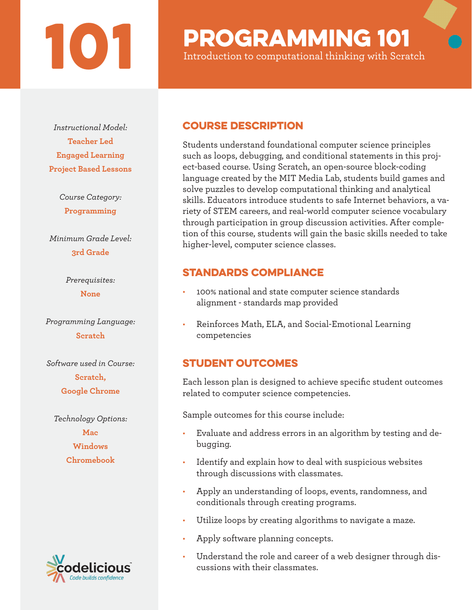# **101 PROGRAMMING 101**<br>Introduction to computational thinking with Scra

Introduction to computational thinking with Scratch

*Instructional Model:* **Teacher Led Engaged Learning Project Based Lessons**

> *Course Category:* **Programming**

*Minimum Grade Level:* **3rd Grade**

> *Prerequisites:* **None**

*Programming Language:* **Scratch**

*Software used in Course:* **Scratch, Google Chrome**

*Technology Options:* **Mac Windows Chromebook**



### Course Description

Students understand foundational computer science principles such as loops, debugging, and conditional statements in this project-based course. Using Scratch, an open-source block-coding language created by the MIT Media Lab, students build games and solve puzzles to develop computational thinking and analytical skills. Educators introduce students to safe Internet behaviors, a variety of STEM careers, and real-world computer science vocabulary through participation in group discussion activities. After completion of this course, students will gain the basic skills needed to take higher-level, computer science classes.

### STANDARDS COMPLIANCE

- 100% national and state computer science standards alignment - standards map provided
- Reinforces Math, ELA, and Social-Emotional Learning competencies

## STUDENT OUTCOMES

Each lesson plan is designed to achieve specific student outcomes related to computer science competencies.

Sample outcomes for this course include:

- Evaluate and address errors in an algorithm by testing and debugging.
- Identify and explain how to deal with suspicious websites through discussions with classmates.
- Apply an understanding of loops, events, randomness, and conditionals through creating programs.
- Utilize loops by creating algorithms to navigate a maze.
- Apply software planning concepts.
- Understand the role and career of a web designer through discussions with their classmates.